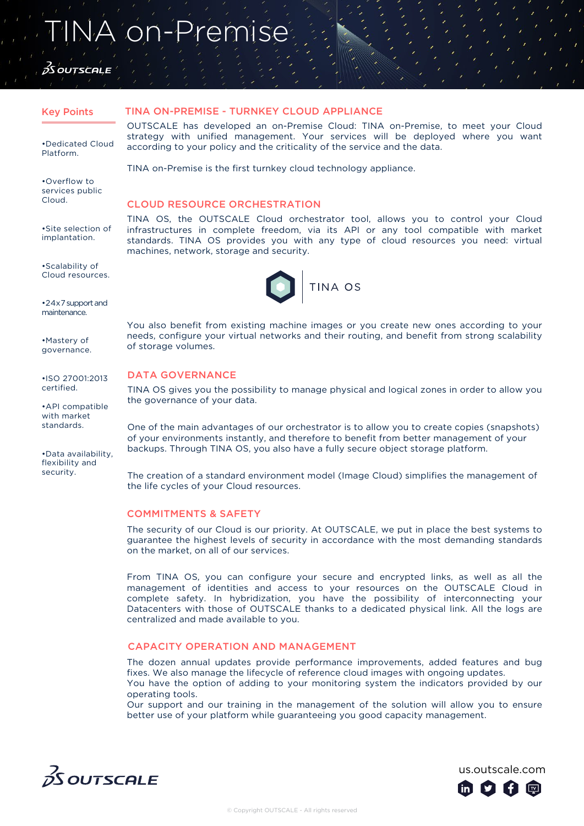# NA on-Premise

## *Ó*S OUTSCALE

•Dedicated Cloud Platform.

•Overflow to services public Cloud.

•Site selection of implantation.

•Scalability of Cloud resources.

•24x7 support and maintenance.

•Mastery of governance.

•ISO 27001:2013 certified.

•API compatible with market standards.

•Data availability, flexibility and security.

#### Key Points TINA ON-PREMISE - TURNKEY CLOUD APPLIANCE

OUTSCALE has developed an on-Premise Cloud: TINA on-Premise, to meet your Cloud strategy with unified management. Your services will be deployed where you want according to your policy and the criticality of the service and the data.

TINA on-Premise is the first turnkey cloud technology appliance.

### CLOUD RESOURCE ORCHESTRATION

TINA OS, the OUTSCALE Cloud orchestrator tool, allows you to control your Cloud infrastructures in complete freedom, via its API or any tool compatible with market standards. TINA OS provides you with any type of cloud resources you need: virtual machines, network, storage and security.



You also benefit from existing machine images or you create new ones according to your needs, configure your virtual networks and their routing, and benefit from strong scalability of storage volumes.

### DATA GOVERNANCE

TINA OS gives you the possibility to manage physical and logical zones in order to allow you the governance of your data.

One of the main advantages of our orchestrator is to allow you to create copies (snapshots) of your environments instantly, and therefore to benefit from better management of your backups. Through TINA OS, you also have a fully secure object storage platform.

The creation of a standard environment model (Image Cloud) simplifies the management of the life cycles of your Cloud resources.

### COMMITMENTS & SAFETY

The security of our Cloud is our priority. At OUTSCALE, we put in place the best systems to guarantee the highest levels of security in accordance with the most demanding standards on the market, on all of our services.

From TINA OS, you can configure your secure and encrypted links, as well as all the management of identities and access to your resources on the OUTSCALE Cloud in complete safety. In hybridization, you have the possibility of interconnecting your Datacenters with those of OUTSCALE thanks to a dedicated physical link. All the logs are centralized and made available to you.

### CAPACITY OPERATION AND MANAGEMENT

The dozen annual updates provide performance improvements, added features and bug fixes. We also manage the lifecycle of reference cloud images with ongoing updates. You have the option of adding to your monitoring system the indicators provided by our operating tools.

Our support and our training in the management of the solution will allow you to ensure better use of your platform while guaranteeing you good capacity management.